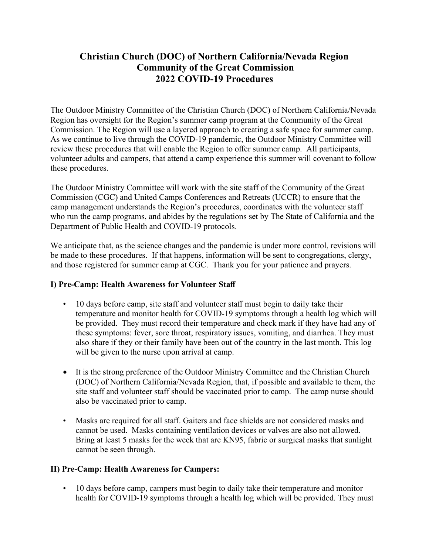# Christian Church (DOC) of Northern California/Nevada Region Community of the Great Commission 2022 COVID-19 Procedures

The Outdoor Ministry Committee of the Christian Church (DOC) of Northern California/Nevada Region has oversight for the Region's summer camp program at the Community of the Great Commission. The Region will use a layered approach to creating a safe space for summer camp. As we continue to live through the COVID-19 pandemic, the Outdoor Ministry Committee will review these procedures that will enable the Region to offer summer camp. All participants, volunteer adults and campers, that attend a camp experience this summer will covenant to follow these procedures.

The Outdoor Ministry Committee will work with the site staff of the Community of the Great Commission (CGC) and United Camps Conferences and Retreats (UCCR) to ensure that the camp management understands the Region's procedures, coordinates with the volunteer staff who run the camp programs, and abides by the regulations set by The State of California and the Department of Public Health and COVID-19 protocols.

We anticipate that, as the science changes and the pandemic is under more control, revisions will be made to these procedures. If that happens, information will be sent to congregations, clergy, and those registered for summer camp at CGC. Thank you for your patience and prayers.

#### I) Pre-Camp: Health Awareness for Volunteer Staff

- 10 days before camp, site staff and volunteer staff must begin to daily take their temperature and monitor health for COVID-19 symptoms through a health log which will be provided. They must record their temperature and check mark if they have had any of these symptoms: fever, sore throat, respiratory issues, vomiting, and diarrhea. They must also share if they or their family have been out of the country in the last month. This log will be given to the nurse upon arrival at camp.
- It is the strong preference of the Outdoor Ministry Committee and the Christian Church (DOC) of Northern California/Nevada Region, that, if possible and available to them, the site staff and volunteer staff should be vaccinated prior to camp. The camp nurse should also be vaccinated prior to camp.
- Masks are required for all staff. Gaiters and face shields are not considered masks and cannot be used. Masks containing ventilation devices or valves are also not allowed. Bring at least 5 masks for the week that are KN95, fabric or surgical masks that sunlight cannot be seen through.

#### II) Pre-Camp: Health Awareness for Campers:

• 10 days before camp, campers must begin to daily take their temperature and monitor health for COVID-19 symptoms through a health log which will be provided. They must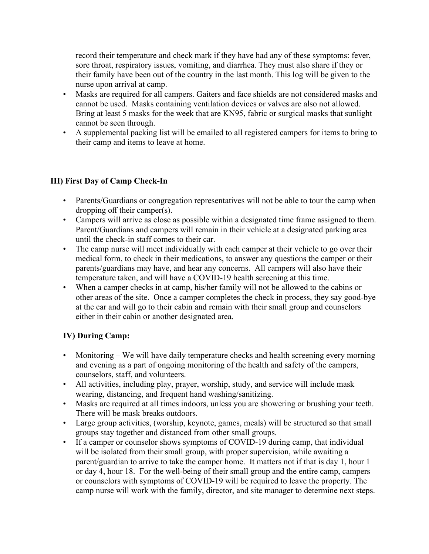record their temperature and check mark if they have had any of these symptoms: fever, sore throat, respiratory issues, vomiting, and diarrhea. They must also share if they or their family have been out of the country in the last month. This log will be given to the nurse upon arrival at camp.

- Masks are required for all campers. Gaiters and face shields are not considered masks and cannot be used. Masks containing ventilation devices or valves are also not allowed. Bring at least 5 masks for the week that are KN95, fabric or surgical masks that sunlight cannot be seen through.
- A supplemental packing list will be emailed to all registered campers for items to bring to their camp and items to leave at home.

## III) First Day of Camp Check-In

- Parents/Guardians or congregation representatives will not be able to tour the camp when dropping off their camper(s).
- Campers will arrive as close as possible within a designated time frame assigned to them. Parent/Guardians and campers will remain in their vehicle at a designated parking area until the check-in staff comes to their car.
- The camp nurse will meet individually with each camper at their vehicle to go over their medical form, to check in their medications, to answer any questions the camper or their parents/guardians may have, and hear any concerns. All campers will also have their temperature taken, and will have a COVID-19 health screening at this time.
- When a camper checks in at camp, his/her family will not be allowed to the cabins or other areas of the site. Once a camper completes the check in process, they say good-bye at the car and will go to their cabin and remain with their small group and counselors either in their cabin or another designated area.

#### IV) During Camp:

- Monitoring We will have daily temperature checks and health screening every morning and evening as a part of ongoing monitoring of the health and safety of the campers, counselors, staff, and volunteers.
- All activities, including play, prayer, worship, study, and service will include mask wearing, distancing, and frequent hand washing/sanitizing.
- Masks are required at all times indoors, unless you are showering or brushing your teeth. There will be mask breaks outdoors.
- Large group activities, (worship, keynote, games, meals) will be structured so that small groups stay together and distanced from other small groups.
- If a camper or counselor shows symptoms of COVID-19 during camp, that individual will be isolated from their small group, with proper supervision, while awaiting a parent/guardian to arrive to take the camper home. It matters not if that is day 1, hour 1 or day 4, hour 18. For the well-being of their small group and the entire camp, campers or counselors with symptoms of COVID-19 will be required to leave the property. The camp nurse will work with the family, director, and site manager to determine next steps.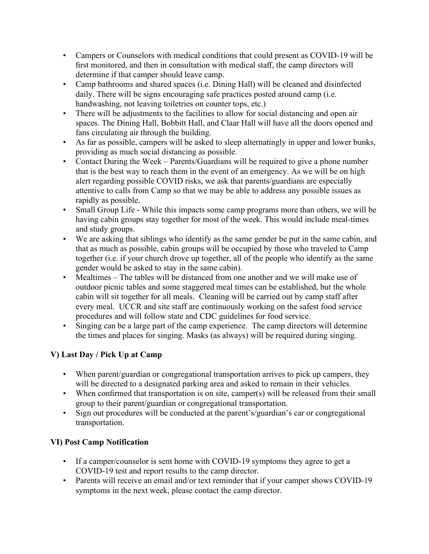- Campers or Counselors with medical conditions that could present as COVID-19 will be first monitored, and then in consultation with medical staff, the camp directors will determine if that camper should leave camp.
- Camp bathrooms and shared spaces (i.e. Dining Hall) will be cleaned and disinfected daily. There will be signs encouraging safe practices posted around camp (i.e. handwashing, not leaving toiletries on counter tops, etc.)
- There will be adjustments to the facilities to allow for social distancing and open air spaces. The Dining Hall, Bobbitt Hall, and Claar Hall will have all the doors opened and fans circulating air through the building.
- As far as possible, campers will be asked to sleep alternatingly in upper and lower bunks, providing as much social distancing as possible.
- Contact During the Week Parents/Guardians will be required to give a phone number that is the best way to reach them in the event of an emergency. As we will be on high alert regarding possible COVID risks, we ask that parents/guardians are especially attentive to calls from Camp so that we may be able to address any possible issues as rapidly as possible.
- Small Group Life While this impacts some camp programs more than others, we will be having cabin groups stay together for most of the week. This would include meal-times and study groups.
- We are asking that siblings who identify as the same gender be put in the same cabin, and that as much as possible, cabin groups will be occupied by those who traveled to Camp together (i.e. if your church drove up together, all of the people who identify as the same gender would be asked to stay in the same cabin).
- Mealtimes The tables will be distanced from one another and we will make use of outdoor picnic tables and some staggered meal times can be established, but the whole cabin will sit together for all meals. Cleaning will be carried out by camp staff after every meal. UCCR and site staff are continuously working on the safest food service procedures and will follow state and CDC guidelines for food service.
- Singing can be a large part of the camp experience. The camp directors will determine the times and places for singing. Masks (as always) will be required during singing.

## V) Last Day / Pick Up at Camp

- When parent/guardian or congregational transportation arrives to pick up campers, they will be directed to a designated parking area and asked to remain in their vehicles.
- When confirmed that transportation is on site, camper(s) will be released from their small group to their parent/guardian or congregational transportation.
- Sign out procedures will be conducted at the parent's/guardian's car or congregational transportation.

## VI) Post Camp Notification

- If a camper/counselor is sent home with COVID-19 symptoms they agree to get a COVID-19 test and report results to the camp director.
- Parents will receive an email and/or text reminder that if your camper shows COVID-19 symptoms in the next week, please contact the camp director.